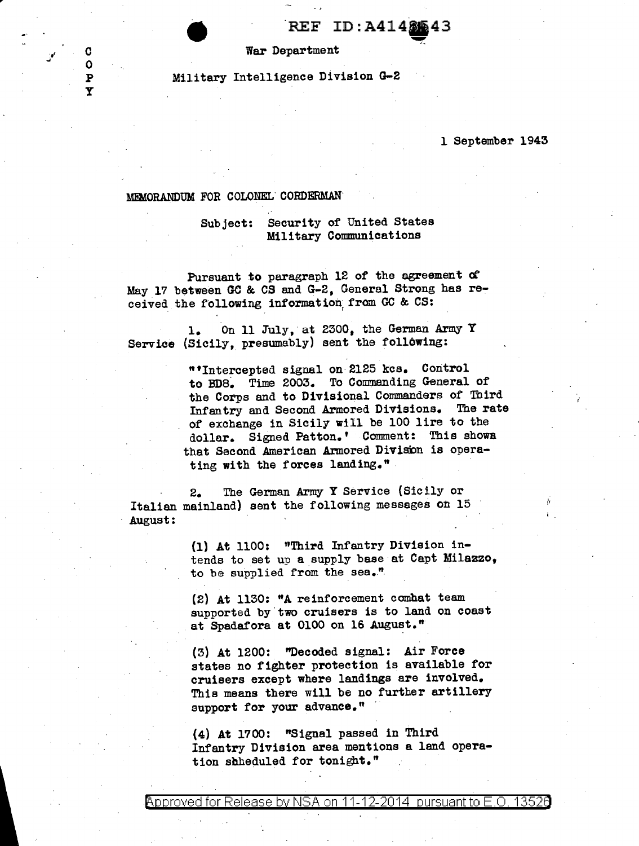$REF$  ID: A414 $81/43$ 

<u>".</u>

War Department

Military Intelligence Division G-2

1 September 1943

; .

## MD/IORANDUM FOR COLONEL. CORDERMAN·

c  $\Omega$ p y

> Subject: Security of United States Military Communications

Pursuant to paragraph 12 of the agreement *d*  May 17 between GC & CS and G-2, General Strong has received the following information from GC & CS:

1. On 11 July, at 2300, the German Army Y Service (Sicily, presumably) sent the following:

> "'Intercepted signal on·2125 kcs. Control to BD8. Time 2003. To Commanding General of the Corps and to Divisional Commanders of Third Infantry and Second Armored Divisions. The rate of exchange in Sicily will be 100 lire to the dollar. Signed Patton.' Comment: This shows that Second American Armored Division is operating with the forces landing."

2. The German Army Y Service (Sicily or Italian mainland) sent the following messages on 15 August:

> (1) At 1100: "Third Infantry Division intends to set up a supply base at Capt Milazzo, to be supplied from the sea."

(2) At 1130: "A reinforcement comhat team supported by two cruisers is to land on coast at Spadafora at 0100 on 16 August."

(3) At 1200: "Decoded signal: Air Force states no fighter protection is available for cruisers except where landings are involved. This means there will be no further artillery support for your advance."

(4) At 1700: "Signal passed in Third Infantry Division area mentions a land operation scheduled for tonight."

<code>Approved</code> for Release by NSA on 11-12-2014 <code>pursuant</code> to E.O. 1352 $\boldsymbol{0}$